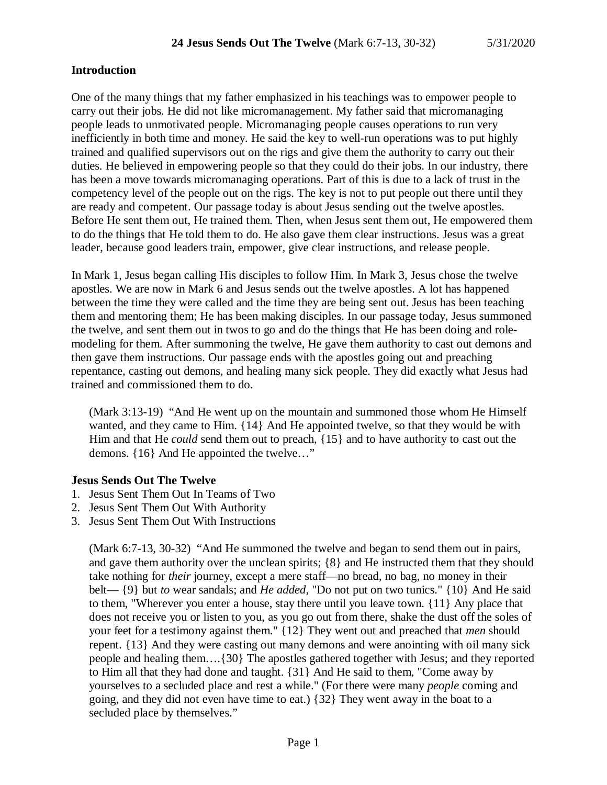#### **Introduction**

One of the many things that my father emphasized in his teachings was to empower people to carry out their jobs. He did not like micromanagement. My father said that micromanaging people leads to unmotivated people. Micromanaging people causes operations to run very inefficiently in both time and money. He said the key to well-run operations was to put highly trained and qualified supervisors out on the rigs and give them the authority to carry out their duties. He believed in empowering people so that they could do their jobs. In our industry, there has been a move towards micromanaging operations. Part of this is due to a lack of trust in the competency level of the people out on the rigs. The key is not to put people out there until they are ready and competent. Our passage today is about Jesus sending out the twelve apostles. Before He sent them out, He trained them. Then, when Jesus sent them out, He empowered them to do the things that He told them to do. He also gave them clear instructions. Jesus was a great leader, because good leaders train, empower, give clear instructions, and release people.

In Mark 1, Jesus began calling His disciples to follow Him. In Mark 3, Jesus chose the twelve apostles. We are now in Mark 6 and Jesus sends out the twelve apostles. A lot has happened between the time they were called and the time they are being sent out. Jesus has been teaching them and mentoring them; He has been making disciples. In our passage today, Jesus summoned the twelve, and sent them out in twos to go and do the things that He has been doing and rolemodeling for them. After summoning the twelve, He gave them authority to cast out demons and then gave them instructions. Our passage ends with the apostles going out and preaching repentance, casting out demons, and healing many sick people. They did exactly what Jesus had trained and commissioned them to do.

(Mark 3:13-19) "And He went up on the mountain and summoned those whom He Himself wanted, and they came to Him. {14} And He appointed twelve, so that they would be with Him and that He *could* send them out to preach, {15} and to have authority to cast out the demons. {16} And He appointed the twelve…"

#### **Jesus Sends Out The Twelve**

- 1. Jesus Sent Them Out In Teams of Two
- 2. Jesus Sent Them Out With Authority
- 3. Jesus Sent Them Out With Instructions

(Mark 6:7-13, 30-32) "And He summoned the twelve and began to send them out in pairs, and gave them authority over the unclean spirits; {8} and He instructed them that they should take nothing for *their* journey, except a mere staff—no bread, no bag, no money in their belt— {9} but *to* wear sandals; and *He added,* "Do not put on two tunics." {10} And He said to them, "Wherever you enter a house, stay there until you leave town. {11} Any place that does not receive you or listen to you, as you go out from there, shake the dust off the soles of your feet for a testimony against them." {12} They went out and preached that *men* should repent. {13} And they were casting out many demons and were anointing with oil many sick people and healing them….{30} The apostles gathered together with Jesus; and they reported to Him all that they had done and taught. {31} And He said to them, "Come away by yourselves to a secluded place and rest a while." (For there were many *people* coming and going, and they did not even have time to eat.) {32} They went away in the boat to a secluded place by themselves."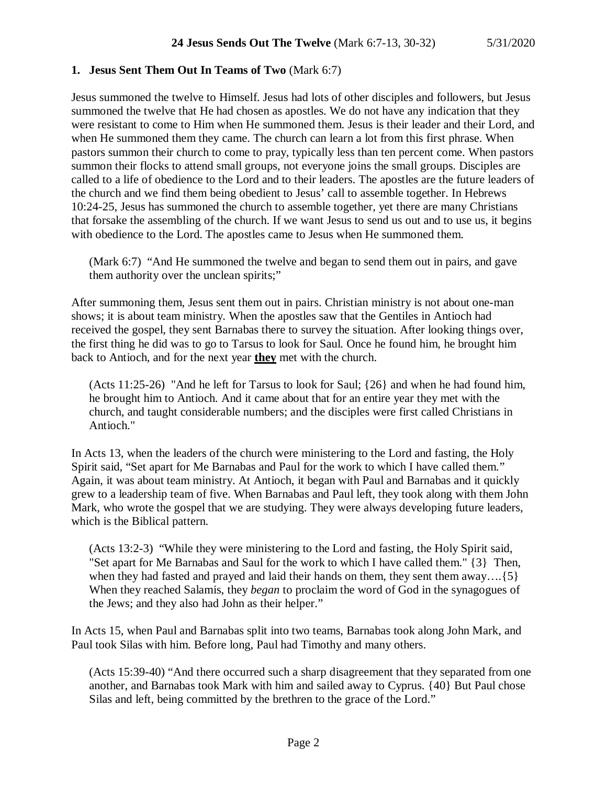#### **1. Jesus Sent Them Out In Teams of Two** (Mark 6:7)

Jesus summoned the twelve to Himself. Jesus had lots of other disciples and followers, but Jesus summoned the twelve that He had chosen as apostles. We do not have any indication that they were resistant to come to Him when He summoned them. Jesus is their leader and their Lord, and when He summoned them they came. The church can learn a lot from this first phrase. When pastors summon their church to come to pray, typically less than ten percent come. When pastors summon their flocks to attend small groups, not everyone joins the small groups. Disciples are called to a life of obedience to the Lord and to their leaders. The apostles are the future leaders of the church and we find them being obedient to Jesus' call to assemble together. In Hebrews 10:24-25, Jesus has summoned the church to assemble together, yet there are many Christians that forsake the assembling of the church. If we want Jesus to send us out and to use us, it begins with obedience to the Lord. The apostles came to Jesus when He summoned them.

(Mark 6:7) "And He summoned the twelve and began to send them out in pairs, and gave them authority over the unclean spirits;"

After summoning them, Jesus sent them out in pairs. Christian ministry is not about one-man shows; it is about team ministry. When the apostles saw that the Gentiles in Antioch had received the gospel, they sent Barnabas there to survey the situation. After looking things over, the first thing he did was to go to Tarsus to look for Saul. Once he found him, he brought him back to Antioch, and for the next year **they** met with the church.

(Acts 11:25-26) "And he left for Tarsus to look for Saul; {26} and when he had found him, he brought him to Antioch. And it came about that for an entire year they met with the church, and taught considerable numbers; and the disciples were first called Christians in Antioch."

In Acts 13, when the leaders of the church were ministering to the Lord and fasting, the Holy Spirit said, "Set apart for Me Barnabas and Paul for the work to which I have called them." Again, it was about team ministry. At Antioch, it began with Paul and Barnabas and it quickly grew to a leadership team of five. When Barnabas and Paul left, they took along with them John Mark, who wrote the gospel that we are studying. They were always developing future leaders, which is the Biblical pattern.

(Acts 13:2-3) "While they were ministering to the Lord and fasting, the Holy Spirit said, "Set apart for Me Barnabas and Saul for the work to which I have called them." {3} Then, when they had fasted and prayed and laid their hands on them, they sent them away....{5} When they reached Salamis, they *began* to proclaim the word of God in the synagogues of the Jews; and they also had John as their helper."

In Acts 15, when Paul and Barnabas split into two teams, Barnabas took along John Mark, and Paul took Silas with him. Before long, Paul had Timothy and many others.

(Acts 15:39-40) "And there occurred such a sharp disagreement that they separated from one another, and Barnabas took Mark with him and sailed away to Cyprus. {40} But Paul chose Silas and left, being committed by the brethren to the grace of the Lord."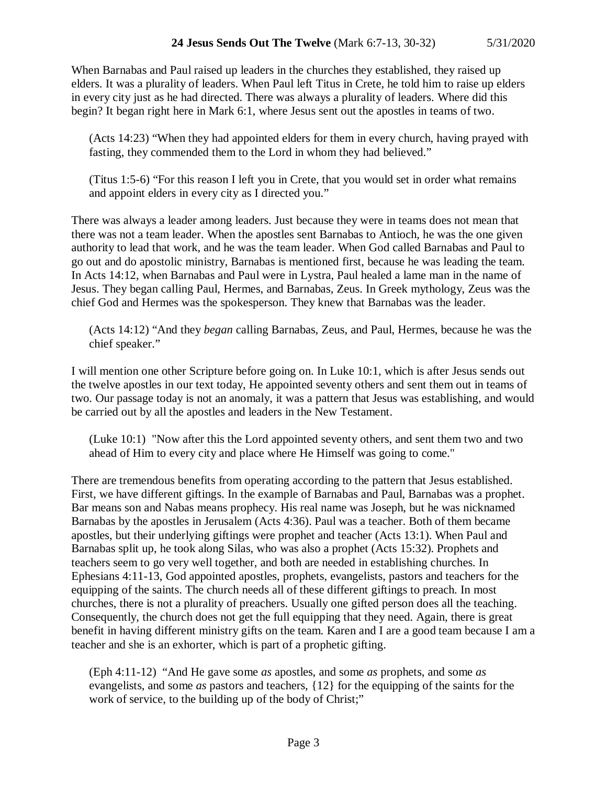When Barnabas and Paul raised up leaders in the churches they established, they raised up elders. It was a plurality of leaders. When Paul left Titus in Crete, he told him to raise up elders in every city just as he had directed. There was always a plurality of leaders. Where did this begin? It began right here in Mark 6:1, where Jesus sent out the apostles in teams of two.

(Acts 14:23) "When they had appointed elders for them in every church, having prayed with fasting, they commended them to the Lord in whom they had believed."

(Titus 1:5-6) "For this reason I left you in Crete, that you would set in order what remains and appoint elders in every city as I directed you."

There was always a leader among leaders. Just because they were in teams does not mean that there was not a team leader. When the apostles sent Barnabas to Antioch, he was the one given authority to lead that work, and he was the team leader. When God called Barnabas and Paul to go out and do apostolic ministry, Barnabas is mentioned first, because he was leading the team. In Acts 14:12, when Barnabas and Paul were in Lystra, Paul healed a lame man in the name of Jesus. They began calling Paul, Hermes, and Barnabas, Zeus. In Greek mythology, Zeus was the chief God and Hermes was the spokesperson. They knew that Barnabas was the leader.

(Acts 14:12) "And they *began* calling Barnabas, Zeus, and Paul, Hermes, because he was the chief speaker."

I will mention one other Scripture before going on. In Luke 10:1, which is after Jesus sends out the twelve apostles in our text today, He appointed seventy others and sent them out in teams of two. Our passage today is not an anomaly, it was a pattern that Jesus was establishing, and would be carried out by all the apostles and leaders in the New Testament.

(Luke 10:1) "Now after this the Lord appointed seventy others, and sent them two and two ahead of Him to every city and place where He Himself was going to come."

There are tremendous benefits from operating according to the pattern that Jesus established. First, we have different giftings. In the example of Barnabas and Paul, Barnabas was a prophet. Bar means son and Nabas means prophecy. His real name was Joseph, but he was nicknamed Barnabas by the apostles in Jerusalem (Acts 4:36). Paul was a teacher. Both of them became apostles, but their underlying giftings were prophet and teacher (Acts 13:1). When Paul and Barnabas split up, he took along Silas, who was also a prophet (Acts 15:32). Prophets and teachers seem to go very well together, and both are needed in establishing churches. In Ephesians 4:11-13, God appointed apostles, prophets, evangelists, pastors and teachers for the equipping of the saints. The church needs all of these different giftings to preach. In most churches, there is not a plurality of preachers. Usually one gifted person does all the teaching. Consequently, the church does not get the full equipping that they need. Again, there is great benefit in having different ministry gifts on the team. Karen and I are a good team because I am a teacher and she is an exhorter, which is part of a prophetic gifting.

(Eph 4:11-12) "And He gave some *as* apostles, and some *as* prophets, and some *as* evangelists, and some *as* pastors and teachers, {12} for the equipping of the saints for the work of service, to the building up of the body of Christ;"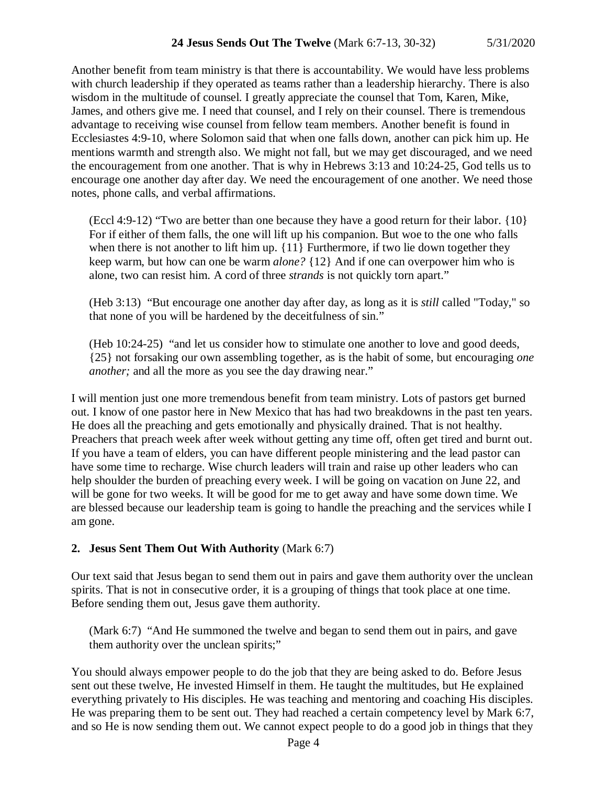Another benefit from team ministry is that there is accountability. We would have less problems with church leadership if they operated as teams rather than a leadership hierarchy. There is also wisdom in the multitude of counsel. I greatly appreciate the counsel that Tom, Karen, Mike, James, and others give me. I need that counsel, and I rely on their counsel. There is tremendous advantage to receiving wise counsel from fellow team members. Another benefit is found in Ecclesiastes 4:9-10, where Solomon said that when one falls down, another can pick him up. He mentions warmth and strength also. We might not fall, but we may get discouraged, and we need the encouragement from one another. That is why in Hebrews 3:13 and 10:24-25, God tells us to encourage one another day after day. We need the encouragement of one another. We need those notes, phone calls, and verbal affirmations.

(Eccl 4:9-12) "Two are better than one because they have a good return for their labor. {10} For if either of them falls, the one will lift up his companion. But woe to the one who falls when there is not another to lift him up.  $\{11\}$  Furthermore, if two lie down together they keep warm, but how can one be warm *alone?* {12} And if one can overpower him who is alone, two can resist him. A cord of three *strands* is not quickly torn apart."

(Heb 3:13) "But encourage one another day after day, as long as it is *still* called "Today," so that none of you will be hardened by the deceitfulness of sin."

(Heb 10:24-25) "and let us consider how to stimulate one another to love and good deeds, {25} not forsaking our own assembling together, as is the habit of some, but encouraging *one another*; and all the more as you see the day drawing near."

I will mention just one more tremendous benefit from team ministry. Lots of pastors get burned out. I know of one pastor here in New Mexico that has had two breakdowns in the past ten years. He does all the preaching and gets emotionally and physically drained. That is not healthy. Preachers that preach week after week without getting any time off, often get tired and burnt out. If you have a team of elders, you can have different people ministering and the lead pastor can have some time to recharge. Wise church leaders will train and raise up other leaders who can help shoulder the burden of preaching every week. I will be going on vacation on June 22, and will be gone for two weeks. It will be good for me to get away and have some down time. We are blessed because our leadership team is going to handle the preaching and the services while I am gone.

# **2. Jesus Sent Them Out With Authority** (Mark 6:7)

Our text said that Jesus began to send them out in pairs and gave them authority over the unclean spirits. That is not in consecutive order, it is a grouping of things that took place at one time. Before sending them out, Jesus gave them authority.

(Mark 6:7) "And He summoned the twelve and began to send them out in pairs, and gave them authority over the unclean spirits;"

You should always empower people to do the job that they are being asked to do. Before Jesus sent out these twelve, He invested Himself in them. He taught the multitudes, but He explained everything privately to His disciples. He was teaching and mentoring and coaching His disciples. He was preparing them to be sent out. They had reached a certain competency level by Mark 6:7, and so He is now sending them out. We cannot expect people to do a good job in things that they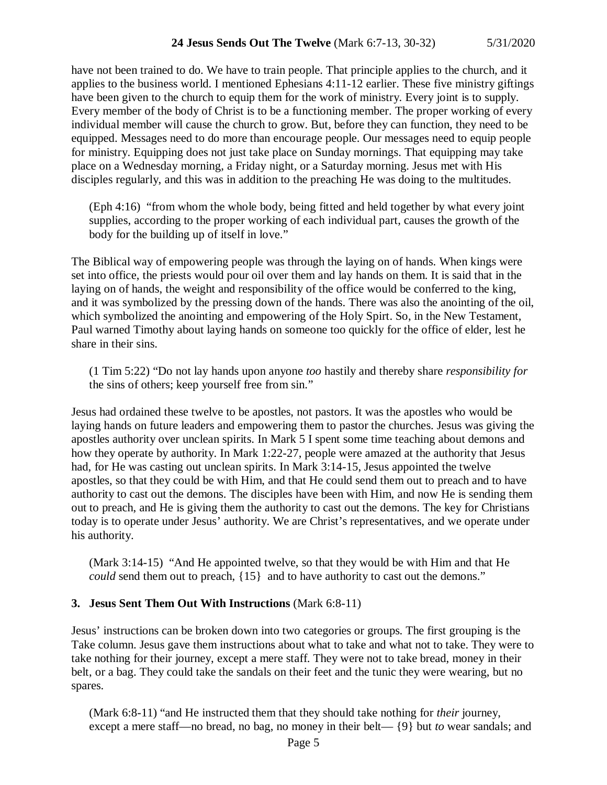have not been trained to do. We have to train people. That principle applies to the church, and it applies to the business world. I mentioned Ephesians 4:11-12 earlier. These five ministry giftings have been given to the church to equip them for the work of ministry. Every joint is to supply. Every member of the body of Christ is to be a functioning member. The proper working of every individual member will cause the church to grow. But, before they can function, they need to be equipped. Messages need to do more than encourage people. Our messages need to equip people for ministry. Equipping does not just take place on Sunday mornings. That equipping may take place on a Wednesday morning, a Friday night, or a Saturday morning. Jesus met with His disciples regularly, and this was in addition to the preaching He was doing to the multitudes.

(Eph 4:16) "from whom the whole body, being fitted and held together by what every joint supplies, according to the proper working of each individual part, causes the growth of the body for the building up of itself in love."

The Biblical way of empowering people was through the laying on of hands. When kings were set into office, the priests would pour oil over them and lay hands on them. It is said that in the laying on of hands, the weight and responsibility of the office would be conferred to the king, and it was symbolized by the pressing down of the hands. There was also the anointing of the oil, which symbolized the anointing and empowering of the Holy Spirt. So, in the New Testament, Paul warned Timothy about laying hands on someone too quickly for the office of elder, lest he share in their sins.

(1 Tim 5:22) "Do not lay hands upon anyone *too* hastily and thereby share *responsibility for* the sins of others; keep yourself free from sin."

Jesus had ordained these twelve to be apostles, not pastors. It was the apostles who would be laying hands on future leaders and empowering them to pastor the churches. Jesus was giving the apostles authority over unclean spirits. In Mark 5 I spent some time teaching about demons and how they operate by authority. In Mark 1:22-27, people were amazed at the authority that Jesus had, for He was casting out unclean spirits. In Mark 3:14-15, Jesus appointed the twelve apostles, so that they could be with Him, and that He could send them out to preach and to have authority to cast out the demons. The disciples have been with Him, and now He is sending them out to preach, and He is giving them the authority to cast out the demons. The key for Christians today is to operate under Jesus' authority. We are Christ's representatives, and we operate under his authority.

(Mark 3:14-15) "And He appointed twelve, so that they would be with Him and that He *could* send them out to preach,  $\{15\}$  and to have authority to cast out the demons."

# **3. Jesus Sent Them Out With Instructions** (Mark 6:8-11)

Jesus' instructions can be broken down into two categories or groups. The first grouping is the Take column. Jesus gave them instructions about what to take and what not to take. They were to take nothing for their journey, except a mere staff. They were not to take bread, money in their belt, or a bag. They could take the sandals on their feet and the tunic they were wearing, but no spares.

(Mark 6:8-11) "and He instructed them that they should take nothing for *their* journey, except a mere staff—no bread, no bag, no money in their belt— {9} but *to* wear sandals; and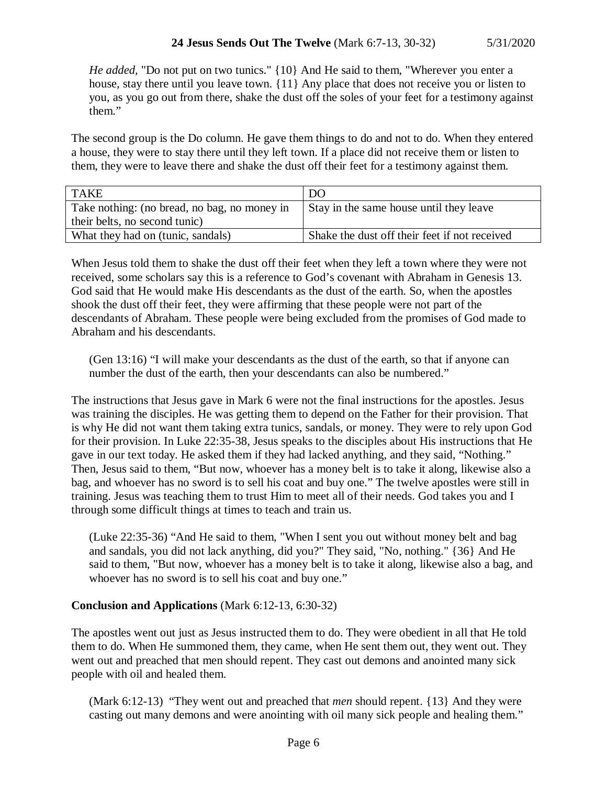*He added,* "Do not put on two tunics." {10} And He said to them, "Wherever you enter a house, stay there until you leave town. {11} Any place that does not receive you or listen to you, as you go out from there, shake the dust off the soles of your feet for a testimony against them."

The second group is the Do column. He gave them things to do and not to do. When they entered a house, they were to stay there until they left town. If a place did not receive them or listen to them, they were to leave there and shake the dust off their feet for a testimony against them.

| <b>TAKE</b>                                  | DO                                            |
|----------------------------------------------|-----------------------------------------------|
| Take nothing: (no bread, no bag, no money in | Stay in the same house until they leave       |
| their belts, no second tunic)                |                                               |
| What they had on (tunic, sandals)            | Shake the dust off their feet if not received |

When Jesus told them to shake the dust off their feet when they left a town where they were not received, some scholars say this is a reference to God's covenant with Abraham in Genesis 13. God said that He would make His descendants as the dust of the earth. So, when the apostles shook the dust off their feet, they were affirming that these people were not part of the descendants of Abraham. These people were being excluded from the promises of God made to Abraham and his descendants.

(Gen 13:16) "I will make your descendants as the dust of the earth, so that if anyone can number the dust of the earth, then your descendants can also be numbered."

The instructions that Jesus gave in Mark 6 were not the final instructions for the apostles. Jesus was training the disciples. He was getting them to depend on the Father for their provision. That is why He did not want them taking extra tunics, sandals, or money. They were to rely upon God for their provision. In Luke 22:35-38, Jesus speaks to the disciples about His instructions that He gave in our text today. He asked them if they had lacked anything, and they said, "Nothing." Then, Jesus said to them, "But now, whoever has a money belt is to take it along, likewise also a bag, and whoever has no sword is to sell his coat and buy one." The twelve apostles were still in training. Jesus was teaching them to trust Him to meet all of their needs. God takes you and I through some difficult things at times to teach and train us.

(Luke 22:35-36) "And He said to them, "When I sent you out without money belt and bag and sandals, you did not lack anything, did you?" They said, "No, nothing." {36} And He said to them, "But now, whoever has a money belt is to take it along, likewise also a bag, and whoever has no sword is to sell his coat and buy one."

# **Conclusion and Applications** (Mark 6:12-13, 6:30-32)

The apostles went out just as Jesus instructed them to do. They were obedient in all that He told them to do. When He summoned them, they came, when He sent them out, they went out. They went out and preached that men should repent. They cast out demons and anointed many sick people with oil and healed them.

(Mark 6:12-13) "They went out and preached that *men* should repent. {13} And they were casting out many demons and were anointing with oil many sick people and healing them."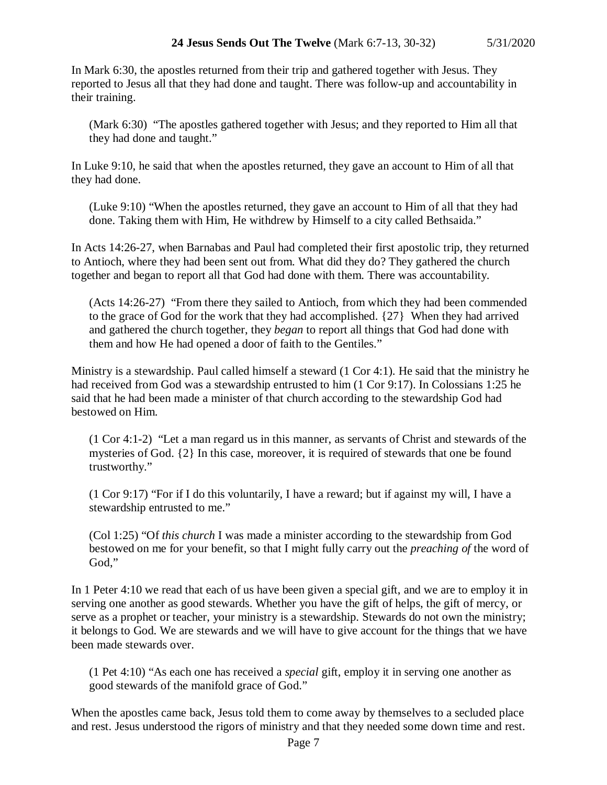In Mark 6:30, the apostles returned from their trip and gathered together with Jesus. They reported to Jesus all that they had done and taught. There was follow-up and accountability in their training.

(Mark 6:30) "The apostles gathered together with Jesus; and they reported to Him all that they had done and taught."

In Luke 9:10, he said that when the apostles returned, they gave an account to Him of all that they had done.

(Luke 9:10) "When the apostles returned, they gave an account to Him of all that they had done. Taking them with Him, He withdrew by Himself to a city called Bethsaida."

In Acts 14:26-27, when Barnabas and Paul had completed their first apostolic trip, they returned to Antioch, where they had been sent out from. What did they do? They gathered the church together and began to report all that God had done with them. There was accountability.

(Acts 14:26-27) "From there they sailed to Antioch, from which they had been commended to the grace of God for the work that they had accomplished. {27} When they had arrived and gathered the church together, they *began* to report all things that God had done with them and how He had opened a door of faith to the Gentiles."

Ministry is a stewardship. Paul called himself a steward (1 Cor 4:1). He said that the ministry he had received from God was a stewardship entrusted to him (1 Cor 9:17). In Colossians 1:25 he said that he had been made a minister of that church according to the stewardship God had bestowed on Him.

(1 Cor 4:1-2) "Let a man regard us in this manner, as servants of Christ and stewards of the mysteries of God. {2} In this case, moreover, it is required of stewards that one be found trustworthy."

(1 Cor 9:17) "For if I do this voluntarily, I have a reward; but if against my will, I have a stewardship entrusted to me."

(Col 1:25) "Of *this church* I was made a minister according to the stewardship from God bestowed on me for your benefit, so that I might fully carry out the *preaching of* the word of God,"

In 1 Peter 4:10 we read that each of us have been given a special gift, and we are to employ it in serving one another as good stewards. Whether you have the gift of helps, the gift of mercy, or serve as a prophet or teacher, your ministry is a stewardship. Stewards do not own the ministry; it belongs to God. We are stewards and we will have to give account for the things that we have been made stewards over.

(1 Pet 4:10) "As each one has received a *special* gift, employ it in serving one another as good stewards of the manifold grace of God."

When the apostles came back, Jesus told them to come away by themselves to a secluded place and rest. Jesus understood the rigors of ministry and that they needed some down time and rest.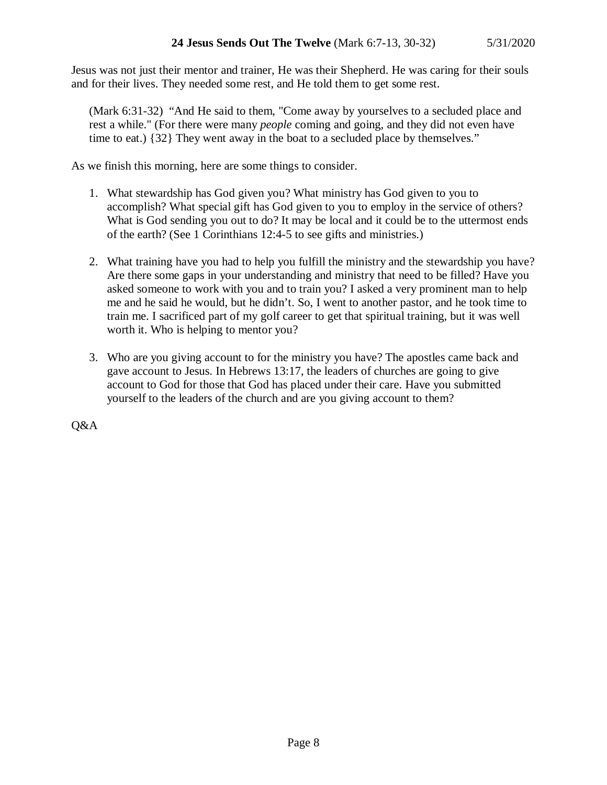Jesus was not just their mentor and trainer, He was their Shepherd. He was caring for their souls and for their lives. They needed some rest, and He told them to get some rest.

(Mark 6:31-32) "And He said to them, "Come away by yourselves to a secluded place and rest a while." (For there were many *people* coming and going, and they did not even have time to eat.) {32} They went away in the boat to a secluded place by themselves."

As we finish this morning, here are some things to consider.

- 1. What stewardship has God given you? What ministry has God given to you to accomplish? What special gift has God given to you to employ in the service of others? What is God sending you out to do? It may be local and it could be to the uttermost ends of the earth? (See 1 Corinthians 12:4-5 to see gifts and ministries.)
- 2. What training have you had to help you fulfill the ministry and the stewardship you have? Are there some gaps in your understanding and ministry that need to be filled? Have you asked someone to work with you and to train you? I asked a very prominent man to help me and he said he would, but he didn't. So, I went to another pastor, and he took time to train me. I sacrificed part of my golf career to get that spiritual training, but it was well worth it. Who is helping to mentor you?
- 3. Who are you giving account to for the ministry you have? The apostles came back and gave account to Jesus. In Hebrews 13:17, the leaders of churches are going to give account to God for those that God has placed under their care. Have you submitted yourself to the leaders of the church and are you giving account to them?

Q&A